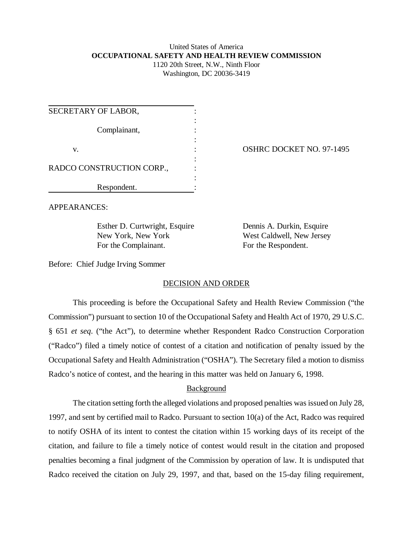# United States of America **OCCUPATIONAL SAFETY AND HEALTH REVIEW COMMISSION** 1120 20th Street, N.W., Ninth Floor

Washington, DC 20036-3419

| SECRETARY OF LABOR,       |  |
|---------------------------|--|
| Complainant,              |  |
| v.                        |  |
| RADCO CONSTRUCTION CORP., |  |
| Respondent.               |  |

OSHRC DOCKET NO. 97-1495

APPEARANCES:

Esther D. Curtwright, Esquire Dennis A. Durkin, Esquire New York, New York West Caldwell, New Jersey For the Complainant. For the Respondent.

Before: Chief Judge Irving Sommer

## DECISION AND ORDER

This proceeding is before the Occupational Safety and Health Review Commission ("the Commission") pursuant to section 10 of the Occupational Safety and Health Act of 1970, 29 U.S.C. § 651 *et seq*. ("the Act"), to determine whether Respondent Radco Construction Corporation ("Radco") filed a timely notice of contest of a citation and notification of penalty issued by the Occupational Safety and Health Administration ("OSHA"). The Secretary filed a motion to dismiss Radco's notice of contest, and the hearing in this matter was held on January 6, 1998.

## Background

The citation setting forth the alleged violations and proposed penalties was issued on July 28, 1997, and sent by certified mail to Radco. Pursuant to section 10(a) of the Act, Radco was required to notify OSHA of its intent to contest the citation within 15 working days of its receipt of the citation, and failure to file a timely notice of contest would result in the citation and proposed penalties becoming a final judgment of the Commission by operation of law. It is undisputed that Radco received the citation on July 29, 1997, and that, based on the 15-day filing requirement,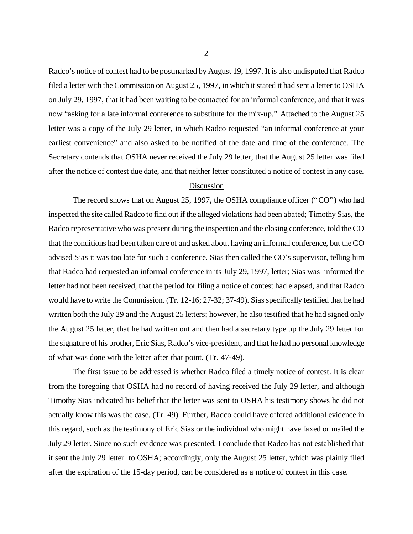Radco's notice of contest had to be postmarked by August 19, 1997. It is also undisputed that Radco filed a letter with the Commission on August 25, 1997, in which it stated it had sent a letter to OSHA on July 29, 1997, that it had been waiting to be contacted for an informal conference, and that it was now "asking for a late informal conference to substitute for the mix-up." Attached to the August 25 letter was a copy of the July 29 letter, in which Radco requested "an informal conference at your earliest convenience" and also asked to be notified of the date and time of the conference. The Secretary contends that OSHA never received the July 29 letter, that the August 25 letter was filed after the notice of contest due date, and that neither letter constituted a notice of contest in any case.

#### Discussion

The record shows that on August 25, 1997, the OSHA compliance officer ("CO") who had inspected the site called Radco to find out if the alleged violations had been abated; Timothy Sias, the Radco representative who was present during the inspection and the closing conference, told the CO that the conditions had been taken care of and asked about having an informal conference, but the CO advised Sias it was too late for such a conference. Sias then called the CO's supervisor, telling him that Radco had requested an informal conference in its July 29, 1997, letter; Sias was informed the letter had not been received, that the period for filing a notice of contest had elapsed, and that Radco would have to write the Commission. (Tr. 12-16; 27-32; 37-49). Sias specifically testified that he had written both the July 29 and the August 25 letters; however, he also testified that he had signed only the August 25 letter, that he had written out and then had a secretary type up the July 29 letter for the signature of his brother, Eric Sias, Radco's vice-president, and that he had no personal knowledge of what was done with the letter after that point. (Tr. 47-49).

The first issue to be addressed is whether Radco filed a timely notice of contest. It is clear from the foregoing that OSHA had no record of having received the July 29 letter, and although Timothy Sias indicated his belief that the letter was sent to OSHA his testimony shows he did not actually know this was the case. (Tr. 49). Further, Radco could have offered additional evidence in this regard, such as the testimony of Eric Sias or the individual who might have faxed or mailed the July 29 letter. Since no such evidence was presented, I conclude that Radco has not established that it sent the July 29 letter to OSHA; accordingly, only the August 25 letter, which was plainly filed after the expiration of the 15-day period, can be considered as a notice of contest in this case.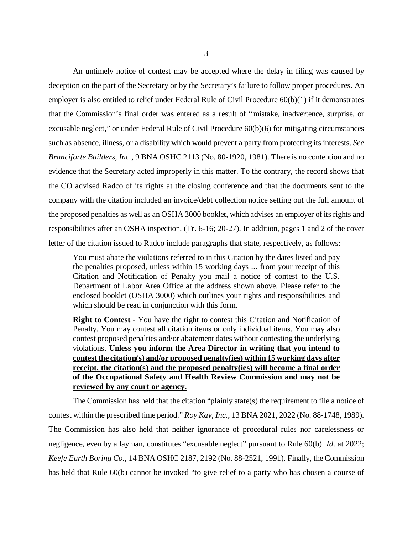An untimely notice of contest may be accepted where the delay in filing was caused by deception on the part of the Secretary or by the Secretary's failure to follow proper procedures. An employer is also entitled to relief under Federal Rule of Civil Procedure 60(b)(1) if it demonstrates that the Commission's final order was entered as a result of "mistake, inadvertence, surprise, or excusable neglect," or under Federal Rule of Civil Procedure 60(b)(6) for mitigating circumstances such as absence, illness, or a disability which would prevent a party from protecting its interests. *See Branciforte Builders, Inc.*, 9 BNA OSHC 2113 (No. 80-1920, 1981). There is no contention and no evidence that the Secretary acted improperly in this matter. To the contrary, the record shows that the CO advised Radco of its rights at the closing conference and that the documents sent to the company with the citation included an invoice/debt collection notice setting out the full amount of the proposed penalties as well as an OSHA 3000 booklet, which advises an employer of its rights and responsibilities after an OSHA inspection. (Tr. 6-16; 20-27). In addition, pages 1 and 2 of the cover letter of the citation issued to Radco include paragraphs that state, respectively, as follows:

You must abate the violations referred to in this Citation by the dates listed and pay the penalties proposed, unless within 15 working days ... from your receipt of this Citation and Notification of Penalty you mail a notice of contest to the U.S. Department of Labor Area Office at the address shown above. Please refer to the enclosed booklet (OSHA 3000) which outlines your rights and responsibilities and which should be read in conjunction with this form.

**Right to Contest** - You have the right to contest this Citation and Notification of Penalty. You may contest all citation items or only individual items. You may also contest proposed penalties and/or abatement dates without contesting the underlying violations. **Unless you inform the Area Director in writing that you intend to contest the citation(s) and/or proposed penalty(ies) within 15 working days after receipt, the citation(s) and the proposed penalty(ies) will become a final order of the Occupational Safety and Health Review Commission and may not be reviewed by any court or agency.**

The Commission has held that the citation "plainly state(s) the requirement to file a notice of contest within the prescribed time period." *Roy Kay, Inc.*, 13 BNA 2021, 2022 (No. 88-1748, 1989). The Commission has also held that neither ignorance of procedural rules nor carelessness or negligence, even by a layman, constitutes "excusable neglect" pursuant to Rule 60(b). *Id*. at 2022; *Keefe Earth Boring Co.*, 14 BNA OSHC 2187, 2192 (No. 88-2521, 1991). Finally, the Commission has held that Rule 60(b) cannot be invoked "to give relief to a party who has chosen a course of